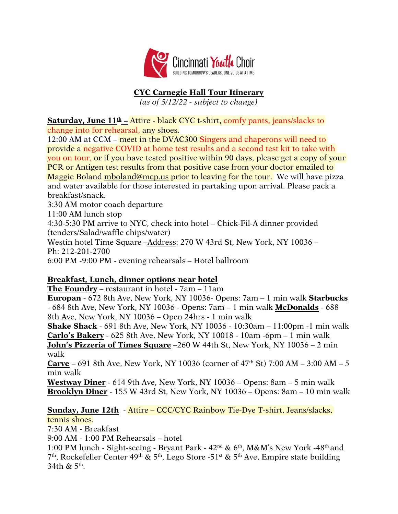

# **CYC Carnegie Hall Tour Itinerary**

*(as of 5/12/22 - subject to change)* 

**Saturday, June 11th –** Attire - black CYC t-shirt, comfy pants, jeans/slacks to change into for rehearsal, any shoes.

12:00 AM at CCM – meet in the DVAC300 Singers and chaperons will need to provide a negative COVID at home test results and a second test kit to take with you on tour, or if you have tested positive within 90 days, please get a copy of your PCR or Antigen test results from that positive case from your doctor emailed to Maggie Boland mboland@mcp.us prior to leaving for the tour. We will have pizza and water available for those interested in partaking upon arrival. Please pack a breakfast/snack.

3:30 AM motor coach departure

11:00 AM lunch stop

4:30-5:30 PM arrive to NYC, check into hotel – Chick-Fil-A dinner provided (tenders/Salad/waffle chips/water)

Westin hotel Time Square –Address: 270 W 43rd St, New York, NY 10036 – Ph: 212-201-2700

6:00 PM -9:00 PM - evening rehearsals – Hotel ballroom

## **Breakfast, Lunch, dinner options near hotel**

**The Foundry** – restaurant in hotel - 7am – 11am

**Europan** - 672 8th Ave, New York, NY 10036- Opens: 7am – 1 min walk **Starbucks** - 684 8th Ave, New York, NY 10036 - Opens: 7am – 1 min walk **McDonalds** - 688 8th Ave, New York, NY 10036 – Open 24hrs - 1 min walk

**Shake Shack** - 691 8th Ave, New York, NY 10036 - 10:30am – 11:00pm -1 min walk **Carlo's Bakery** - 625 8th Ave, New York, NY 10018 - 10am -6pm – 1 min walk **John's Pizzeria of Times Square** –260 W 44th St, New York, NY 10036 – 2 min walk

**Carve** – 691 8th Ave, New York, NY 10036 (corner of 47th St) 7:00 AM – 3:00 AM – 5 min walk

**Westway Diner** - 614 9th Ave, New York, NY 10036 – Opens: 8am – 5 min walk **Brooklyn Diner** - 155 W 43rd St, New York, NY 10036 – Opens: 8am – 10 min walk

**Sunday, June 12th** - Attire – CCC/CYC Rainbow Tie-Dye T-shirt, Jeans/slacks,

## tennis shoes.

7:30 AM - Breakfast

9:00 AM - 1:00 PM Rehearsals – hotel

1:00 PM lunch - Sight-seeing - Bryant Park -  $42<sup>nd</sup>$  &  $6<sup>th</sup>$ , M&M's New York - $48<sup>th</sup>$  and <sup>7th</sup>, Rockefeller Center 49<sup>th</sup> & 5<sup>th</sup>, Lego Store -51<sup>st</sup> & 5<sup>th</sup> Ave, Empire state building 34th & 5th .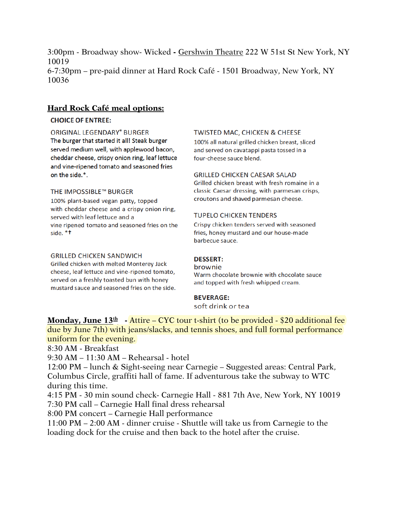3:00pm - Broadway show- Wicked **-** Gershwin Theatre 222 W 51st St New York, NY 10019 6-7:30pm – pre-paid dinner at Hard Rock Café - 1501 Broadway, New York, NY 10036

### **Hard Rock Café meal options:**

### **CHOICE OF ENTREE:**

**ORIGINAL LEGENDARY® BURGER** The burger that started it all! Steak burger served medium well, with applewood bacon, cheddar cheese, crispy onion ring, leaf lettuce and vine-ripened tomato and seasoned fries on the side.\*.

### THE IMPOSSIBLE™ BURGER

100% plant-based vegan patty, topped with cheddar cheese and a crispy onion ring, served with leaf lettuce and a vine ripened tomato and seasoned fries on the side. \*t

#### **GRILLED CHICKEN SANDWICH**

Grilled chicken with melted Monterey Jack cheese, leaf lettuce and vine-ripened tomato, served on a freshly toasted bun with honey mustard sauce and seasoned fries on the side.

#### **TWISTED MAC, CHICKEN & CHEESE**

100% all natural grilled chicken breast, sliced and served on cavatappi pasta tossed in a four-cheese sauce blend.

#### **GRILLED CHICKEN CAESAR SALAD**

Grilled chicken breast with fresh romaine in a classic Caesar dressing, with parmesan crisps, croutons and shaved parmesan cheese.

#### **TUPELO CHICKEN TENDERS**

Crispy chicken tenders served with seasoned fries, honey mustard and our house-made barbecue sauce.

#### **DESSERT:**

brownie Warm chocolate brownie with chocolate sauce and topped with fresh whipped cream.

#### **BEVERAGE:**

soft drink or tea

**Monday, June 13th -** Attire – CYC tour t-shirt (to be provided - \$20 additional fee due by June 7th) with jeans/slacks, and tennis shoes, and full formal performance uniform for the evening.

8:30 AM - Breakfast

9:30 AM – 11:30 AM – Rehearsal - hotel

12:00 PM – lunch & Sight-seeing near Carnegie – Suggested areas: Central Park, Columbus Circle, graffiti hall of fame. If adventurous take the subway to WTC during this time.

4:15 PM - 30 min sound check- Carnegie Hall - 881 7th Ave, New York, NY 10019 7:30 PM call – Carnegie Hall final dress rehearsal

8:00 PM concert – Carnegie Hall performance

11:00 PM – 2:00 AM - dinner cruise - Shuttle will take us from Carnegie to the loading dock for the cruise and then back to the hotel after the cruise.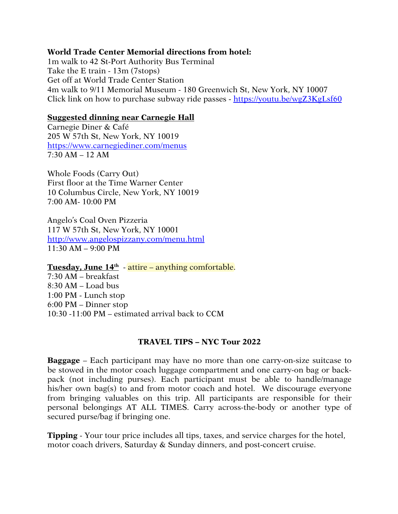## **World Trade Center Memorial directions from hotel:**

1m walk to 42 St-Port Authority Bus Terminal Take the E train - 13m (7stops) Get off at World Trade Center Station 4m walk to 9/11 Memorial Museum - 180 Greenwich St, New York, NY 10007 Click link on how to purchase subway ride passes - https://youtu.be/wgZ3KgLsf60

### **Suggested dinning near Carnegie Hall**

Carnegie Diner & Café 205 W 57th St, New York, NY 10019 https://www.carnegiediner.com/menus 7:30 AM – 12 AM

Whole Foods (Carry Out) First floor at the Time Warner Center 10 Columbus Circle, New York, NY 10019 7:00 AM- 10:00 PM

Angelo's Coal Oven Pizzeria 117 W 57th St, New York, NY 10001 http://www.angelospizzany.com/menu.html  $11:30$  AM  $-$  9:00 PM

**Tuesday, June 14th** - attire – anything comfortable. 7:30 AM – breakfast 8:30 AM – Load bus 1:00 PM - Lunch stop 6:00 PM – Dinner stop 10:30 -11:00 PM – estimated arrival back to CCM

## **TRAVEL TIPS – NYC Tour 2022**

**Baggage** – Each participant may have no more than one carry-on-size suitcase to be stowed in the motor coach luggage compartment and one carry-on bag or backpack (not including purses). Each participant must be able to handle/manage his/her own bag(s) to and from motor coach and hotel. We discourage everyone from bringing valuables on this trip. All participants are responsible for their personal belongings AT ALL TIMES. Carry across-the-body or another type of secured purse/bag if bringing one.

**Tipping** - Your tour price includes all tips, taxes, and service charges for the hotel, motor coach drivers, Saturday & Sunday dinners, and post-concert cruise.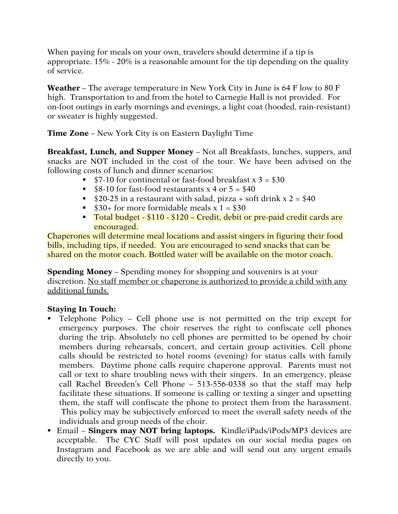When paying for meals on your own, travelers should determine if a tip is appropriate. 15% - 20% is a reasonable amount for the tip depending on the quality of service.

**Weather** – The average temperature in New York City in June is 64 F low to 80 F high. Transportation to and from the hotel to Carnegie Hall is not provided. For on-foot outings in early mornings and evenings, a light coat (hooded, rain-resistant) or sweater is highly suggested.

**Time Zone** – New York City is on Eastern Daylight Time

**Breakfast, Lunch, and Supper Money** – Not all Breakfasts, lunches, suppers, and snacks are NOT included in the cost of the tour. We have been advised on the following costs of lunch and dinner scenarios:

- $\degree$  \$7-10 for continental or fast-food breakfast x 3 = \$30
- $$8-10$  for fast-food restaurants x 4 or 5 = \$40
- \$20-25 in a restaurant with salad, pizza + soft drink  $x$  2 = \$40
- $\bullet$  \$30+ for more formidable meals x 1 = \$30
- Total budget \$110 \$120 Credit, debit or pre-paid credit cards are encouraged.

Chaperones will determine meal locations and assist singers in figuring their food bills, including tips, if needed. You are encouraged to send snacks that can be shared on the motor coach. Bottled water will be available on the motor coach.

**Spending Money** – Spending money for shopping and souvenirs is at your discretion. No staff member or chaperone is authorized to provide a child with any additional funds.

## **Staying In Touch:**

- § Telephone Policy Cell phone use is not permitted on the trip except for emergency purposes. The choir reserves the right to confiscate cell phones during the trip. Absolutely no cell phones are permitted to be opened by choir members during rehearsals, concert, and certain group activities. Cell phone calls should be restricted to hotel rooms (evening) for status calls with family members. Daytime phone calls require chaperone approval. Parents must not call or text to share troubling news with their singers. In an emergency, please call Rachel Breeden's Cell Phone – 513-556-0338 so that the staff may help facilitate these situations. If someone is calling or texting a singer and upsetting them, the staff will confiscate the phone to protect them from the harassment. This policy may be subjectively enforced to meet the overall safety needs of the individuals and group needs of the choir.
- § Email **Singers may NOT bring laptops.** Kindle/iPads/iPods/MP3 devices are acceptable. The CYC Staff will post updates on our social media pages on Instagram and Facebook as we are able and will send out any urgent emails directly to you.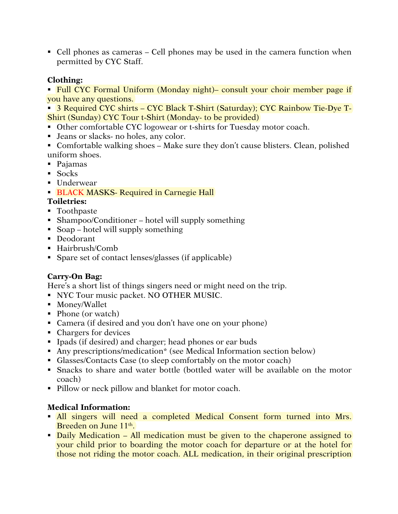■ Cell phones as cameras – Cell phones may be used in the camera function when permitted by CYC Staff.

## **Clothing:**

• Full CYC Formal Uniform (Monday night)– consult your choir member page if you have any questions.

■ 3 Required CYC shirts – CYC Black T-Shirt (Saturday); CYC Rainbow Tie-Dye T-Shirt (Sunday) CYC Tour t-Shirt (Monday- to be provided)

- Other comfortable CYC logowear or t-shirts for Tuesday motor coach.
- Jeans or slacks- no holes, any color.
- Comfortable walking shoes Make sure they don't cause blisters. Clean, polished uniform shoes.
- § Pajamas
- § Socks
- Underwear

## **• BLACK MASKS- Required in Carnegie Hall**

## **Toiletries:**

- Toothpaste
- Shampoo/Conditioner hotel will supply something
- Soap hotel will supply something
- Deodorant
- Hairbrush/Comb
- Spare set of contact lenses/glasses (if applicable)

## **Carry-On Bag:**

Here's a short list of things singers need or might need on the trip.

- § NYC Tour music packet. NO OTHER MUSIC.
- § Money/Wallet
- Phone (or watch)
- Camera (if desired and you don't have one on your phone)
- Chargers for devices
- Ipads (if desired) and charger; head phones or ear buds
- Any prescriptions/medication<sup>\*</sup> (see Medical Information section below)
- Glasses/Contacts Case (to sleep comfortably on the motor coach)
- Snacks to share and water bottle (bottled water will be available on the motor coach)
- Pillow or neck pillow and blanket for motor coach.

## **Medical Information:**

- All singers will need a completed Medical Consent form turned into Mrs. Breeden on June 11<sup>th</sup>.
- Daily Medication All medication must be given to the chaperone assigned to your child prior to boarding the motor coach for departure or at the hotel for those not riding the motor coach. ALL medication, in their original prescription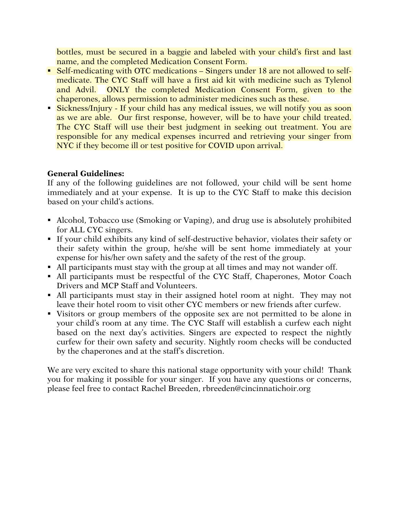bottles, must be secured in a baggie and labeled with your child's first and last name, and the completed Medication Consent Form.

- Self-medicating with OTC medications Singers under 18 are not allowed to selfmedicate. The CYC Staff will have a first aid kit with medicine such as Tylenol and Advil. ONLY the completed Medication Consent Form, given to the chaperones, allows permission to administer medicines such as these.
- Sickness/Injury If your child has any medical issues, we will notify you as soon as we are able. Our first response, however, will be to have your child treated. The CYC Staff will use their best judgment in seeking out treatment. You are responsible for any medical expenses incurred and retrieving your singer from NYC if they become ill or test positive for COVID upon arrival.

## **General Guidelines:**

If any of the following guidelines are not followed, your child will be sent home immediately and at your expense. It is up to the CYC Staff to make this decision based on your child's actions.

- Alcohol, Tobacco use (Smoking or Vaping), and drug use is absolutely prohibited for ALL CYC singers.
- § If your child exhibits any kind of self-destructive behavior, violates their safety or their safety within the group, he/she will be sent home immediately at your expense for his/her own safety and the safety of the rest of the group.
- All participants must stay with the group at all times and may not wander off.
- All participants must be respectful of the CYC Staff, Chaperones, Motor Coach Drivers and MCP Staff and Volunteers.
- All participants must stay in their assigned hotel room at night. They may not leave their hotel room to visit other CYC members or new friends after curfew.
- Visitors or group members of the opposite sex are not permitted to be alone in your child's room at any time. The CYC Staff will establish a curfew each night based on the next day's activities. Singers are expected to respect the nightly curfew for their own safety and security. Nightly room checks will be conducted by the chaperones and at the staff's discretion.

We are very excited to share this national stage opportunity with your child! Thank you for making it possible for your singer. If you have any questions or concerns, please feel free to contact Rachel Breeden, rbreeden@cincinnatichoir.org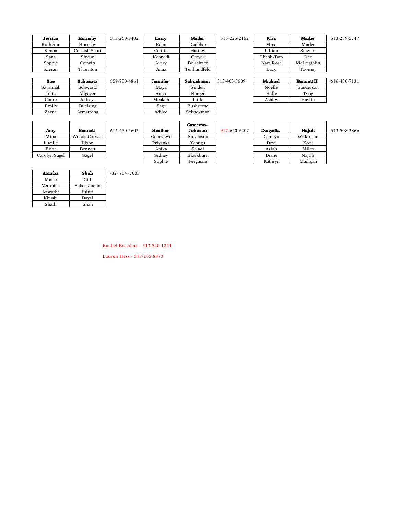| Jessica  | Hornsby       | 513 |
|----------|---------------|-----|
| Ruth Ann | Hornsby       |     |
| Kenna    | Cornish Scott |     |
| Sana     | Shyam         |     |
| Sophie   | Corwin        |     |
| Kieran   | Thornton      |     |

| Jessica  | Hornsby       | 513-260-3402 | Larry   | Mader       | 513-225-2162 | Kris      | Mader      | 513-259-5747 |
|----------|---------------|--------------|---------|-------------|--------------|-----------|------------|--------------|
| Ruth Ann | Hornsby       |              | Eden    | Duebber     |              | Mina      | Mader      |              |
| Kenna    | Cornish Scott |              | Caitlin | Hartlev     |              | Lillian   | Stewart    |              |
| Sana     | Shyam         |              | Kennedi | Graver      |              | Thanh-Tam | Dao        |              |
| Sophie   | Corwin        |              | Avery   | Belschner   |              | Kara Rose | McLaughlin |              |
| Kieran   | Thornton      |              | Anna    | Tenhundfeld |              | Lucy      | Toomey     |              |
|          |               |              |         |             |              |           |            |              |

| Mader      |
|------------|
| Mader      |
| Stewart    |
| Dao        |
| McLaughlin |
| Toomey     |
|            |

| .                 |              |
|-------------------|--------------|
| <b>Bennett II</b> | 616-450-7131 |
| Sanderson         |              |

| Sue      | Schwartz  | 859-750-4861 | Jennifer | Schuckman        | 513-403-5609 | Michael | <b>Bennett II</b> |
|----------|-----------|--------------|----------|------------------|--------------|---------|-------------------|
| Savannah | Schwartz  |              | Mava     | Sinden           |              | Noelle  | Sanderson         |
| Julia    | Allgeyer  |              | Anna     | Burger           |              | Halle   | Tyng              |
| Claire   | Jeffreys  |              | Meakah   | Little           |              | Ashlev  | Havlin            |
| Emily    | Buelsing  |              | Sage     | <b>Bushstone</b> |              |         |                   |
| Zavne    | Armstrong |              | Adilee   | Schuckman        |              |         |                   |
|          |           |              |          |                  |              |         |                   |
|          |           |              |          | $\sim$           |              |         |                   |

| Amv           | Bennett      | 616-450-5602 | Heather   | Cameron-<br>Johnson | 917-620-6207 | Danvetta | Naioli  |
|---------------|--------------|--------------|-----------|---------------------|--------------|----------|---------|
| Mina          | Woods-Corwin |              | Genevieve | Stevenson           |              | Camrvn   | Wilkins |
| Lucille       | Dixon        |              | Privanka  | Yenugu              |              | Devi     | Kool    |
| Erica         | Bennett      |              | Anika     | Saladi              |              | Aziah    | Miles   |
| Carolyn Sagel | Sagel        |              | Sidnev    | Blackburn           |              | Diane    | Naioli  |
|               |              |              |           |                     |              |          |         |

| Amy        | <b>Bennett</b> | 616-450-5602 | Heather   | Cameron-<br>Johnson | 917-620-6207 | Danvetta | Naioli    |
|------------|----------------|--------------|-----------|---------------------|--------------|----------|-----------|
| Mina       | Woods-Corwin   |              | Genevieve | Stevenson           |              | Camryn   | Wilkinson |
| ucille     | Dixon          |              | Privanka  | Yenugu              |              | Devi     | Kool      |
| Erica      | Bennett        |              | Anika     | Saladi              |              | Aziah    | Miles     |
| olyn Sagel | Sagel          |              | Sidney    | Blackburn           |              | Diane    | Naioli    |
|            |                |              | Sophie    | Ferguson            |              | Kathrvn  | Madigan   |

| 917-620-6207 | Danyetta | Najoli    | 513-508-3866 |
|--------------|----------|-----------|--------------|
|              | Camryn   | Wilkinson |              |
|              | Devi     | Kool      |              |
|              | Aziah    | Miles     |              |
|              | Diane    | Najoli    |              |
|              | Kathryn  | Madigan   |              |

| Amisha   | Shah       | 73 |
|----------|------------|----|
| Marie    | Gill       |    |
| Veronica | Schackmann |    |
| Amrutha  | Juluri     |    |
| Khushi   | Daval      |    |
| Shaili   | Shah       |    |

Amisha Shah 732- 754 -7003

Rachel Breeden - 513-520-1221

Lauren Hess - 513-205-8873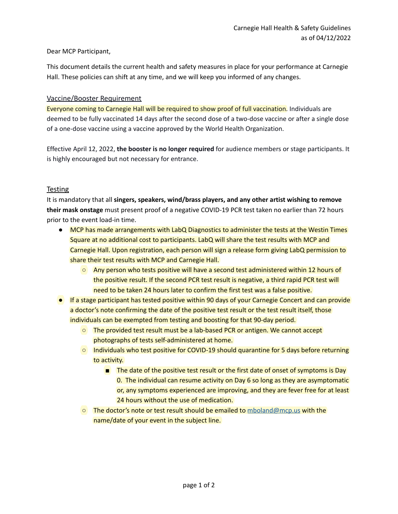### Dear MCP Participant,

This document details the current health and safety measures in place for your performance at Carnegie Hall. These policies can shift at any time, and we will keep you informed of any changes.

### Vaccine/Booster Requirement

Everyone coming to Carnegie Hall will be required to show proof of full vaccination. Individuals are deemed to be fully vaccinated 14 days after the second dose of a two-dose vaccine or after a single dose of a one-dose vaccine using a vaccine approved by the World Health Organization.

Effective April 12, 2022, **the booster is no longer required** for audience members or stage participants. It is highly encouraged but not necessary for entrance.

### **Testing**

It is mandatory that all **singers, speakers, wind/brass players, and any other artist wishing to remove their mask onstage** must present proof of a negative COVID-19 PCR test taken no earlier than 72 hours prior to the event load-in time.

- MCP has made arrangements with LabQ Diagnostics to administer the tests at the Westin Times Square at no additional cost to participants. LabQ will share the test results with MCP and Carnegie Hall. Upon registration, each person will sign a release form giving LabQ permission to share their test results with MCP and Carnegie Hall.
	- Any person who tests positive will have a second test administered within 12 hours of the positive result. If the second PCR test result is negative, a third rapid PCR test will need to be taken 24 hours later to confirm the first test was a false positive.
- If a stage participant has tested positive within 90 days of your Carnegie Concert and can provide a doctor's note confirming the date of the positive test result or the test result itself, those individuals can be exempted from testing and boosting for that 90-day period.
	- The provided test result must be a lab-based PCR or antigen. We cannot accept photographs of tests self-administered at home.
	- Individuals who test positive for COVID-19 should quarantine for 5 days before returning to activity.
		- The date of the positive test result or the first date of onset of symptoms is Day 0. The individual can resume activity on Day 6 so long as they are asymptomatic or, any symptoms experienced are improving, and they are fever free for at least 24 hours without the use of medication.
	- The doctor's note or test result should be emailed to [mboland@mcp.us](mailto:mboland@mcp.us) with the name/date of your event in the subject line.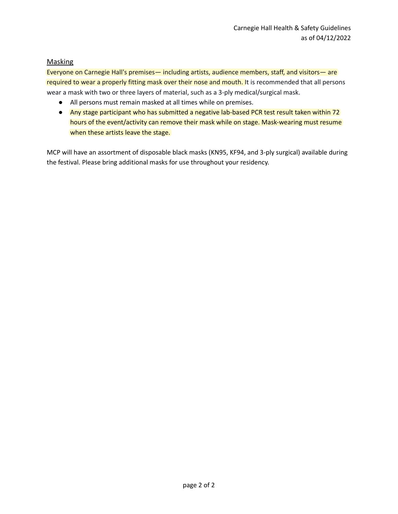### **Masking**

Everyone on Carnegie Hall's premises— including artists, audience members, staff, and visitors— are required to wear a properly fitting mask over their nose and mouth. It is recommended that all persons wear a mask with two or three layers of material, such as a 3-ply medical/surgical mask.

- All persons must remain masked at all times while on premises.
- Any stage participant who has submitted a negative lab-based PCR test result taken within 72 hours of the event/activity can remove their mask while on stage. Mask-wearing must resume when these artists leave the stage.

MCP will have an assortment of disposable black masks (KN95, KF94, and 3-ply surgical) available during the festival. Please bring additional masks for use throughout your residency.